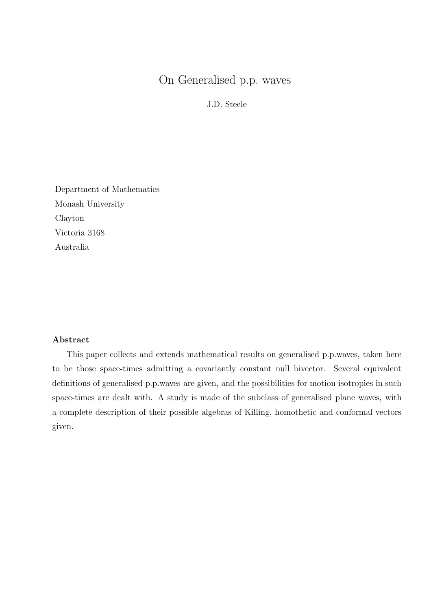J.D. Steele

Department of Mathematics Monash University Clayton Victoria 3168 Australia

# **Abstract**

This paper collects and extends mathematical results on generalised p.p.waves, taken here to be those space-times admitting a covariantly constant null bivector. Several equivalent definitions of generalised p.p.waves are given, and the possibilities for motion isotropies in such space-times are dealt with. A study is made of the subclass of generalised plane waves, with a complete description of their possible algebras of Killing, homothetic and conformal vectors given.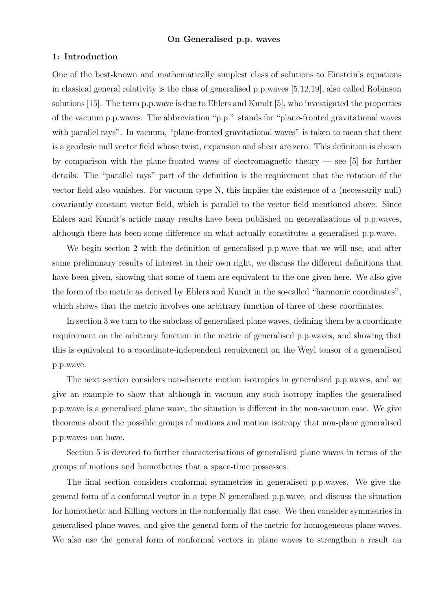## **1: Introduction**

One of the best-known and mathematically simplest class of solutions to Einstein's equations in classical general relativity is the class of generalised p.p.waves [5,12,19], also called Robinson solutions [15]. The term p.p.wave is due to Ehlers and Kundt [5], who investigated the properties of the vacuum p.p.waves. The abbreviation "p.p." stands for "plane-fronted gravitational waves with parallel rays". In vacuum, "plane-fronted gravitational waves" is taken to mean that there is a geodesic null vector field whose twist, expansion and shear are zero. This definition is chosen by comparison with the plane-fronted waves of electromagnetic theory  $-$  see [5] for further details. The "parallel rays" part of the definition is the requirement that the rotation of the vector field also vanishes. For vacuum type N, this implies the existence of a (necessarily null) covariantly constant vector field, which is parallel to the vector field mentioned above. Since Ehlers and Kundt's article many results have been published on generalisations of p.p.waves, although there has been some difference on what actually constitutes a generalised p.p.wave.

We begin section 2 with the definition of generalised p.p.wave that we will use, and after some preliminary results of interest in their own right, we discuss the different definitions that have been given, showing that some of them are equivalent to the one given here. We also give the form of the metric as derived by Ehlers and Kundt in the so-called "harmonic coordinates", which shows that the metric involves one arbitrary function of three of these coordinates.

In section 3 we turn to the subclass of generalised plane waves, defining them by a coordinate requirement on the arbitrary function in the metric of generalised p.p.waves, and showing that this is equivalent to a coordinate-independent requirement on the Weyl tensor of a generalised p.p.wave.

The next section considers non-discrete motion isotropies in generalised p.p.waves, and we give an example to show that although in vacuum any such isotropy implies the generalised p.p.wave is a generalised plane wave, the situation is different in the non-vacuum case. We give theorems about the possible groups of motions and motion isotropy that non-plane generalised p.p.waves can have.

Section 5 is devoted to further characterisations of generalised plane waves in terms of the groups of motions and homotheties that a space-time possesses.

The final section considers conformal symmetries in generalised p.p.waves. We give the general form of a conformal vector in a type N generalised p.p.wave, and discuss the situation for homothetic and Killing vectors in the conformally flat case. We then consider symmetries in generalised plane waves, and give the general form of the metric for homogeneous plane waves. We also use the general form of conformal vectors in plane waves to strengthen a result on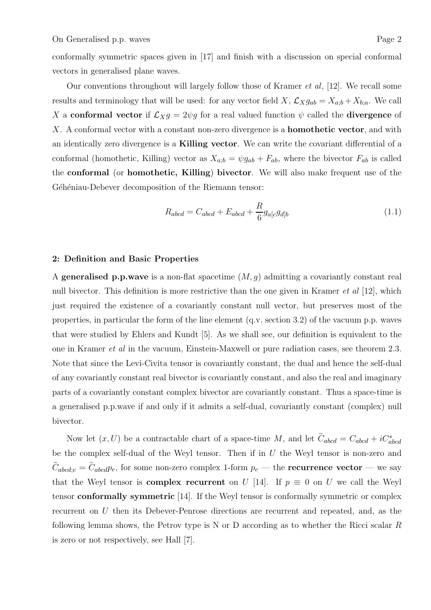conformally symmetric spaces given in [17] and finish with a discussion on special conformal vectors in generalised plane waves.

Our conventions throughout will largely follow those of Kramer et al, [12]. We recall some results and terminology that will be used: for any vector field X,  $\mathcal{L}_X g_{ab} = X_{a;b} + X_{b;a}$ . We call X a **conformal vector** if  $\mathcal{L}_{X}g = 2\psi g$  for a real valued function  $\psi$  called the **divergence** of X. A conformal vector with a constant non-zero divergence is a **homothetic vector**, and with an identically zero divergence is a **Killing vector**. We can write the covariant differential of a conformal (homothetic, Killing) vector as  $X_{a;b} = \psi g_{ab} + F_{ab}$ , where the bivector  $F_{ab}$  is called the **conformal** (or **homothetic, Killing**) **bivector**. We will also make frequent use of the Géhéniau-Debever decomposition of the Riemann tensor:

$$
R_{abcd} = C_{abcd} + E_{abcd} + \frac{R}{6}g_{a[c}g_{d]b}
$$
\n
$$
(1.1)
$$

# **2: Definition and Basic Properties**

A **generalised p.p.wave** is a non-flat spacetime (M, g) admitting a covariantly constant real null bivector. This definition is more restrictive than the one given in Kramer *et al* [12], which just required the existence of a covariantly constant null vector, but preserves most of the properties, in particular the form of the line element (q.v. section 3.2) of the vacuum p.p. waves that were studied by Ehlers and Kundt [5]. As we shall see, our definition is equivalent to the one in Kramer et al in the vacuum, Einstein-Maxwell or pure radiation cases, see theorem 2.3. Note that since the Levi-Civita tensor is covariantly constant, the dual and hence the self-dual of any covariantly constant real bivector is covariantly constant, and also the real and imaginary parts of a covariantly constant complex bivector are covariantly constant. Thus a space-time is a generalised p.p.wave if and only if it admits a self-dual, covariantly constant (complex) null bivector.

Now let  $(x, U)$  be a contractable chart of a space-time M, and let  $C_{abcd} = C_{abcd} + iC_{abcd}^*$ be the complex self-dual of the Weyl tensor. Then if in  $U$  the Weyl tensor is non-zero and  $\tilde{C}_{abcd;e} = \tilde{C}_{abcd}p_e$ , for some non-zero complex 1-form  $p_e$  — the **recurrence vector** — we say that the Weyl tensor is **complex recurrent** on U [14]. If  $p \equiv 0$  on U we call the Weyl tensor **conformally symmetric** [14]. If the Weyl tensor is conformally symmetric or complex recurrent on U then its Debever-Penrose directions are recurrent and repeated, and, as the following lemma shows, the Petrov type is N or D according as to whether the Ricci scalar R is zero or not respectively, see Hall [7].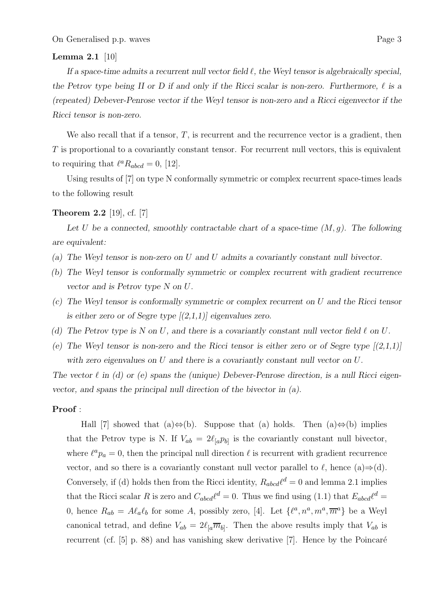# **Lemma 2.1** [10]

*If a space-time admits a recurrent null vector field*  $\ell$ , the Weyl tensor is algebraically special, the Petrov type being II or D if and only if the Ricci scalar is non-zero. Furthermore,  $\ell$  is a *(repeated) Debever-Penrose vector if the Weyl tensor is non-zero and a Ricci eigenvector if the Ricci tensor is non-zero.*

We also recall that if a tensor,  $T$ , is recurrent and the recurrence vector is a gradient, then T is proportional to a covariantly constant tensor. For recurrent null vectors, this is equivalent to requiring that  $\ell^a R_{abcd} = 0$ , [12].

Using results of [7] on type N conformally symmetric or complex recurrent space-times leads to the following result

## **Theorem 2.2** [19], cf. [7]

Let U be a connected, smoothly contractable chart of a space-time  $(M, g)$ . The following *are equivalent:*

- *(a) The Weyl tensor is non-zero on* U *and* U *admits a covariantly constant null bivector.*
- *(b) The Weyl tensor is conformally symmetric or complex recurrent with gradient recurrence vector and is Petrov type N on* U*.*
- *(c) The Weyl tensor is conformally symmetric or complex recurrent on* U *and the Ricci tensor is either zero or of Segre type [(2,1,1)] eigenvalues zero.*
- *(d)* The Petrov type is N on U, and there is a covariantly constant null vector field  $\ell$  on U.
- (e) The Weyl tensor is non-zero and the Ricci tensor is either zero or of Segre type  $[(2,1,1)]$ *with zero eigenvalues on* U *and there is a covariantly constant null vector on* U*.*

The vector  $\ell$  in (d) or (e) spans the (unique) Debever-Penrose direction, is a null Ricci eigen*vector, and spans the principal null direction of the bivector in (a).*

## **Proof** :

Hall [7] showed that (a)⇔(b). Suppose that (a) holds. Then (a)⇔(b) implies that the Petrov type is N. If  $V_{ab} = 2\ell_{a}p_{b}$  is the covariantly constant null bivector, where  $\ell^a p_a = 0$ , then the principal null direction  $\ell$  is recurrent with gradient recurrence vector, and so there is a covariantly constant null vector parallel to  $\ell$ , hence (a)⇒(d). Conversely, if (d) holds then from the Ricci identity,  $R_{abcd}\ell^d = 0$  and lemma 2.1 implies that the Ricci scalar R is zero and  $C_{abcd}\ell^d = 0$ . Thus we find using (1.1) that  $E_{abcd}\ell^d =$ 0, hence  $R_{ab} = A\ell_a\ell_b$  for some A, possibly zero, [4]. Let  $\{\ell^a, n^a, m^a, \overline{m}^a\}$  be a Weyl canonical tetrad, and define  $V_{ab} = 2\ell_{a}\overline{m}_{b}$ . Then the above results imply that  $V_{ab}$  is recurrent (cf.  $[5]$  p. 88) and has vanishing skew derivative [7]. Hence by the Poincaré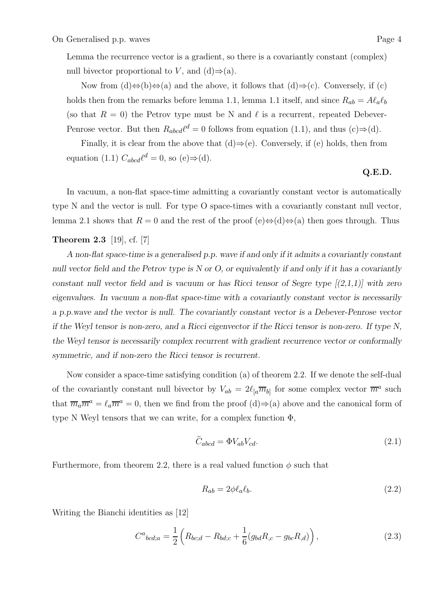Lemma the recurrence vector is a gradient, so there is a covariantly constant (complex) null bivector proportional to V, and  $(d) \Rightarrow (a)$ .

Now from  $(d) \Leftrightarrow (b) \Leftrightarrow (a)$  and the above, it follows that  $(d) \Rightarrow (c)$ . Conversely, if  $(c)$ holds then from the remarks before lemma 1.1, lemma 1.1 itself, and since  $R_{ab} = A\ell_a\ell_b$ (so that  $R = 0$ ) the Petrov type must be N and  $\ell$  is a recurrent, repeated Debever-Penrose vector. But then  $R_{abcd}\ell^d = 0$  follows from equation (1.1), and thus (c)⇒(d).

Finally, it is clear from the above that  $(d) \Rightarrow (e)$ . Conversely, if  $(e)$  holds, then from equation (1.1)  $C_{abcd}\ell^d = 0$ , so (e) $\Rightarrow$ (d).

# **Q.E.D.**

In vacuum, a non-flat space-time admitting a covariantly constant vector is automatically type N and the vector is null. For type O space-times with a covariantly constant null vector, lemma 2.1 shows that  $R = 0$  and the rest of the proof (e)⇔(d)⇔(a) then goes through. Thus

## **Theorem 2.3** [19], cf. [7]

*A non-flat space-time is a generalised p.p. wave if and only if it admits a covariantly constant null vector field and the Petrov type is N or O, or equivalently if and only if it has a covariantly constant null vector field and is vacuum or has Ricci tensor of Segre type [(2,1,1)] with zero eigenvalues. In vacuum a non-flat space-time with a covariantly constant vector is necessarily a p.p.wave and the vector is null. The covariantly constant vector is a Debever-Penrose vector if the Weyl tensor is non-zero, and a Ricci eigenvector if the Ricci tensor is non-zero. If type N, the Weyl tensor is necessarily complex recurrent with gradient recurrence vector or conformally symmetric, and if non-zero the Ricci tensor is recurrent.*

Now consider a space-time satisfying condition (a) of theorem 2.2. If we denote the self-dual of the covariantly constant null bivector by  $V_{ab} = 2\ell_{a}\overline{m}_{b}$  for some complex vector  $\overline{m}^{a}$  such that  $\overline{m}_a \overline{m}^a = \ell_a \overline{m}^a = 0$ , then we find from the proof (d)⇒(a) above and the canonical form of type N Weyl tensors that we can write, for a complex function  $\Phi$ ,

$$
\widetilde{C}_{abcd} = \Phi V_{ab} V_{cd}.
$$
\n(2.1)

Furthermore, from theorem 2.2, there is a real valued function  $\phi$  such that

$$
R_{ab} = 2\phi \ell_a \ell_b. \tag{2.2}
$$

Writing the Bianchi identities as [12]

$$
C^{a}{}_{bcd;a} = \frac{1}{2} \left( R_{bc;d} - R_{bd;c} + \frac{1}{6} (g_{bd} R_{,c} - g_{bc} R_{,d}) \right), \tag{2.3}
$$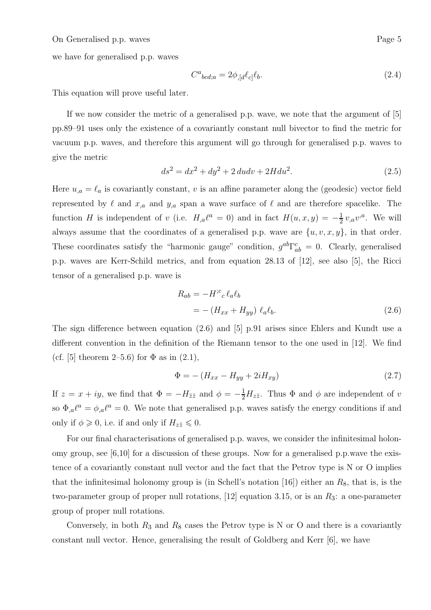we have for generalised p.p. waves

$$
C^a{}_{bcd;a} = 2\phi_{,[d}\ell_{c]}\ell_{b}.\tag{2.4}
$$

This equation will prove useful later.

If we now consider the metric of a generalised p.p. wave, we note that the argument of [5] pp.89–91 uses only the existence of a covariantly constant null bivector to find the metric for vacuum p.p. waves, and therefore this argument will go through for generalised p.p. waves to give the metric

$$
ds^{2} = dx^{2} + dy^{2} + 2 du dv + 2H du^{2}.
$$
 (2.5)

Here  $u_{,a} = \ell_a$  is covariantly constant, v is an affine parameter along the (geodesic) vector field represented by  $\ell$  and  $x_{,a}$  and  $y_{,a}$  span a wave surface of  $\ell$  and are therefore spacelike. The function H is independent of v (i.e.  $H_{,a}\ell^a = 0$ ) and in fact  $H(u, x, y) = -\frac{1}{2}v_{,a}v^a$ . We will always assume that the coordinates of a generalised p.p. wave are  $\{u, v, x, y\}$ , in that order. These coordinates satisfy the "harmonic gauge" condition,  $g^{ab}\Gamma^c_{ab} = 0$ . Clearly, generalised p.p. waves are Kerr-Schild metrics, and from equation 28.13 of [12], see also [5], the Ricci tensor of a generalised p.p. wave is

$$
R_{ab} = -H^{;c}{}_{c} \ell_{a} \ell_{b}
$$
  
= - (H<sub>xx</sub> + H<sub>yy</sub>)  $\ell_{a} \ell_{b}$ . (2.6)

The sign difference between equation (2.6) and [5] p.91 arises since Ehlers and Kundt use a different convention in the definition of the Riemann tensor to the one used in [12]. We find (cf. [5] theorem 2–5.6) for  $\Phi$  as in (2.1),

$$
\Phi = - (H_{xx} - H_{yy} + 2iH_{xy})
$$
\n(2.7)

If  $z = x + iy$ , we find that  $\Phi = -H_{\bar{z}\bar{z}}$  and  $\phi = -\frac{1}{2}H_{z\bar{z}}$ . Thus  $\Phi$  and  $\phi$  are independent of v so  $\Phi_{,a}\ell^a = \phi_{,a}\ell^a = 0$ . We note that generalised p.p. waves satisfy the energy conditions if and only if  $\phi \geq 0$ , i.e. if and only if  $H_{z\overline{z}} \leq 0$ .

For our final characterisations of generalised p.p. waves, we consider the infinitesimal holonomy group, see  $[6,10]$  for a discussion of these groups. Now for a generalised p.p.wave the existence of a covariantly constant null vector and the fact that the Petrov type is N or O implies that the infinitesimal holonomy group is (in Schell's notation [16]) either an  $R_8$ , that is, is the two-parameter group of proper null rotations, [12] equation 3.15, or is an  $R_3$ : a one-parameter group of proper null rotations.

Conversely, in both  $R_3$  and  $R_8$  cases the Petrov type is N or O and there is a covariantly constant null vector. Hence, generalising the result of Goldberg and Kerr [6], we have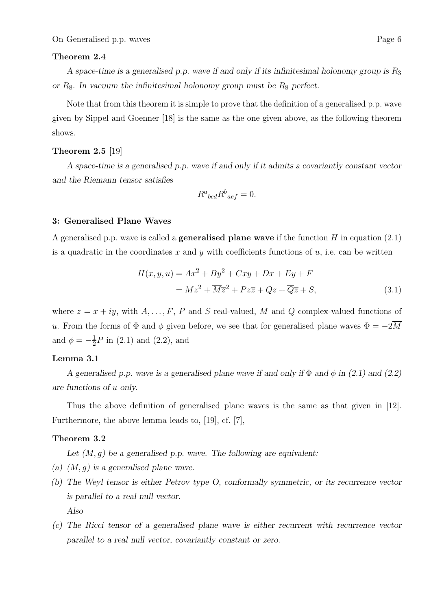## **Theorem 2.4**

*A space-time is a generalised p.p. wave if and only if its infinitesimal holonomy group is*  $R_3$ *or* R8*. In vacuum the infinitesimal holonomy group must be* R<sup>8</sup> *perfect.*

Note that from this theorem it is simple to prove that the definition of a generalised p.p. wave given by Sippel and Goenner [18] is the same as the one given above, as the following theorem shows.

# **Theorem 2.5** [19]

*A space-time is a generalised p.p. wave if and only if it admits a covariantly constant vector and the Riemann tensor satisfies*

$$
R^a{}_{bcd}R^b{}_{aef} = 0.
$$

## **3: Generalised Plane Waves**

A generalised p.p. wave is called a **generalised plane wave** if the function H in equation (2.1) is a quadratic in the coordinates x and y with coefficients functions of  $u$ , i.e. can be written

$$
H(x, y, u) = Ax2 + By2 + Cxy + Dx + Ey + F
$$
  
=  $Mz2 + \overline{Mz}^{2} + Pz\overline{z} + Qz + \overline{Qz} + S,$  (3.1)

where  $z = x + iy$ , with  $A, \ldots, F, P$  and S real-valued, M and Q complex-valued functions of u. From the forms of  $\Phi$  and  $\phi$  given before, we see that for generalised plane waves  $\Phi = -2\overline{M}$ and  $\phi = -\frac{1}{2}P$  in (2.1) and (2.2), and

## **Lemma 3.1**

*A generalised p.p. wave is a generalised plane wave if and only if* Φ *and* φ *in (2.1) and (2.2) are functions of* u *only.*

Thus the above definition of generalised plane waves is the same as that given in [12]. Furthermore, the above lemma leads to, [19], cf. [7],

## **Theorem 3.2**

*Let (*M, g*) be a generalised p.p. wave. The following are equivalent:*

- *(a) (*M, g*) is a generalised plane wave.*
- *(b) The Weyl tensor is either Petrov type O, conformally symmetric, or its recurrence vector is parallel to a real null vector. Also*
- *(c) The Ricci tensor of a generalised plane wave is either recurrent with recurrence vector parallel to a real null vector, covariantly constant or zero.*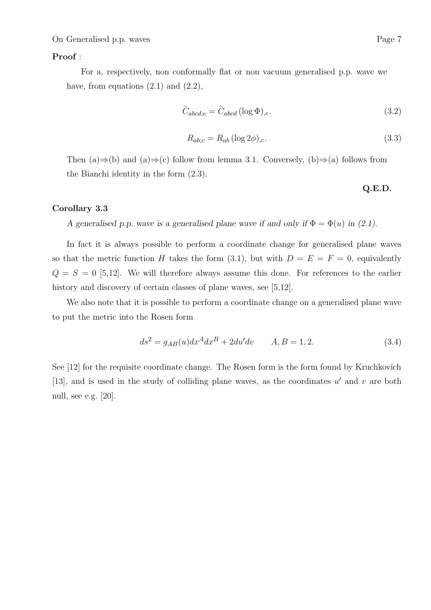## **Proof** :

For a, respectively, non conformally flat or non vacuum generalised p.p. wave we have, from equations  $(2.1)$  and  $(2.2)$ ,

$$
\tilde{C}_{abcd;e} = \tilde{C}_{abcd} (\log \Phi)_{,e}.
$$
\n(3.2)

$$
R_{ab;c} = R_{ab} (\log 2\phi)_{,c}.\tag{3.3}
$$

Then (a)⇒(b) and (a)⇒(c) follow from lemma 3.1. Conversely, (b)⇒(a) follows from the Bianchi identity in the form (2.3).

# **Q.E.D.**

## **Corollary 3.3**

*A generalised p.p. wave is a generalised plane wave if and only if*  $\Phi = \Phi(u)$  *in (2.1).* 

In fact it is always possible to perform a coordinate change for generalised plane waves so that the metric function H takes the form (3.1), but with  $D = E = F = 0$ , equivalently  $Q = S = 0$  [5,12]. We will therefore always assume this done. For references to the earlier history and discovery of certain classes of plane waves, see [5,12].

We also note that it is possible to perform a coordinate change on a generalised plane wave to put the metric into the Rosen form

$$
ds^{2} = g_{AB}(u)dx^{A}dx^{B} + 2du'dv \qquad A, B = 1, 2.
$$
 (3.4)

See [12] for the requisite coordinate change. The Rosen form is the form found by Kruchkovich [13], and is used in the study of colliding plane waves, as the coordinates  $u'$  and v are both null, see e.g. [20].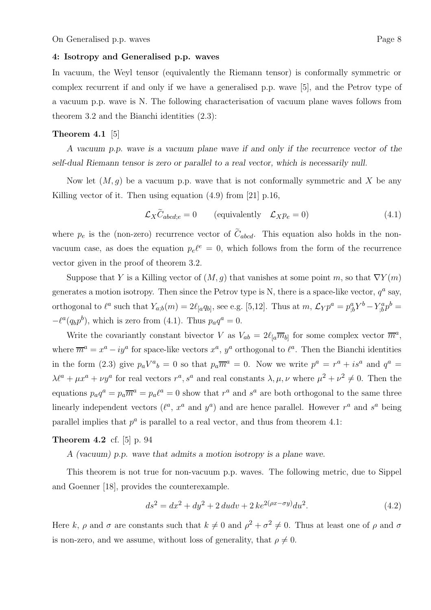## **4: Isotropy and Generalised p.p. waves**

In vacuum, the Weyl tensor (equivalently the Riemann tensor) is conformally symmetric or complex recurrent if and only if we have a generalised p.p. wave [5], and the Petrov type of a vacuum p.p. wave is N. The following characterisation of vacuum plane waves follows from theorem 3.2 and the Bianchi identities (2.3):

## **Theorem 4.1** [5]

*A vacuum p.p. wave is a vacuum plane wave if and only if the recurrence vector of the self-dual Riemann tensor is zero or parallel to a real vector, which is necessarily null.*

Now let  $(M, q)$  be a vacuum p.p. wave that is not conformally symmetric and X be any Killing vector of it. Then using equation (4.9) from [21] p.16,

$$
\mathcal{L}_X \tilde{C}_{abcd;e} = 0 \qquad \text{(equivalently} \quad \mathcal{L}_X p_e = 0)
$$
\n
$$
(4.1)
$$

where  $p_e$  is the (non-zero) recurrence vector of  $\tilde{C}_{abcd}$ . This equation also holds in the nonvacuum case, as does the equation  $p_e l^e = 0$ , which follows from the form of the recurrence vector given in the proof of theorem 3.2.

Suppose that Y is a Killing vector of  $(M, g)$  that vanishes at some point m, so that  $\nabla Y(m)$ generates a motion isotropy. Then since the Petrov type is N, there is a space-like vector,  $q^a$  say, orthogonal to  $\ell^a$  such that  $Y_{a;b}(m)=2\ell_{[a}q_{b]},$  see e.g. [5,12]. Thus at  $m$ ,  $\mathcal{L}_Y p^a = p^a_{;b} Y^b - Y^a_{;b} p^b =$  $-\ell^a(q_bp^b)$ , which is zero from (4.1). Thus  $p_aq^a = 0$ .

Write the covariantly constant bivector V as  $V_{ab} = 2\ell_{a}\overline{m}_{b}$  for some complex vector  $\overline{m}^{a}$ , where  $\overline{m}^a = x^a - iy^a$  for space-like vectors  $x^a$ ,  $y^a$  orthogonal to  $\ell^a$ . Then the Bianchi identities in the form (2.3) give  $p_a V^a{}_b = 0$  so that  $p_a \overline{m}^a = 0$ . Now we write  $p^a = r^a + i s^a$  and  $q^a =$  $\lambda \ell^a + \mu x^a + \nu y^a$  for real vectors  $r^a$ ,  $s^a$  and real constants  $\lambda, \mu, \nu$  where  $\mu^2 + \nu^2 \neq 0$ . Then the equations  $p_a q^a = p_a \overline{m}^a = p_a \ell^a = 0$  show that  $r^a$  and  $s^a$  are both orthogonal to the same three linearly independent vectors  $(\ell^a, x^a \text{ and } y^a)$  and are hence parallel. However  $r^a$  and  $s^a$  being parallel implies that  $p^a$  is parallel to a real vector, and thus from theorem 4.1:

# **Theorem 4.2** cf. [5] p. 94

*A (vacuum) p.p. wave that admits a motion isotropy is a plane wave.*

This theorem is not true for non-vacuum p.p. waves. The following metric, due to Sippel and Goenner [18], provides the counterexample.

$$
ds^{2} = dx^{2} + dy^{2} + 2 du dv + 2 ke^{2(\rho x - \sigma y)} du^{2}.
$$
\n(4.2)

Here k,  $\rho$  and  $\sigma$  are constants such that  $k \neq 0$  and  $\rho^2 + \sigma^2 \neq 0$ . Thus at least one of  $\rho$  and  $\sigma$ is non-zero, and we assume, without loss of generality, that  $\rho \neq 0$ .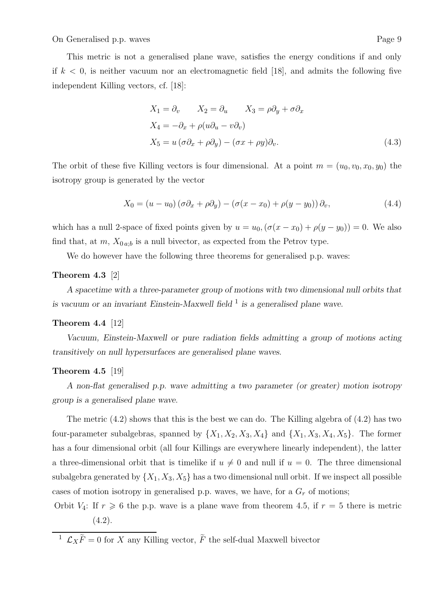This metric is not a generalised plane wave, satisfies the energy conditions if and only if  $k < 0$ , is neither vacuum nor an electromagnetic field [18], and admits the following five independent Killing vectors, cf. [18]:

$$
X_1 = \partial_v \qquad X_2 = \partial_u \qquad X_3 = \rho \partial_y + \sigma \partial_x
$$
  
\n
$$
X_4 = -\partial_x + \rho (u\partial_u - v\partial_v)
$$
  
\n
$$
X_5 = u(\sigma \partial_x + \rho \partial_y) - (\sigma x + \rho y)\partial_v.
$$
\n(4.3)

The orbit of these five Killing vectors is four dimensional. At a point  $m = (u_0, v_0, x_0, y_0)$  the isotropy group is generated by the vector

$$
X_0 = (u - u_0) (\sigma \partial_x + \rho \partial_y) - (\sigma (x - x_0) + \rho (y - y_0)) \partial_v,
$$
\n(4.4)

which has a null 2-space of fixed points given by  $u = u_0$ ,  $(\sigma(x - x_0) + \rho(y - y_0)) = 0$ . We also find that, at  $m$ ,  $X_{0 a;b}$  is a null bivector, as expected from the Petrov type.

We do however have the following three theorems for generalised p.p. waves:

# **Theorem 4.3** [2]

*A spacetime with a three-parameter group of motions with two dimensional null orbits that is vacuum or an invariant Einstein-Maxwell field*<sup>1</sup> *is a generalised plane wave.* 

## **Theorem 4.4** [12]

*Vacuum, Einstein-Maxwell or pure radiation fields admitting a group of motions acting transitively on null hypersurfaces are generalised plane waves.*

## **Theorem 4.5** [19]

*A non-flat generalised p.p. wave admitting a two parameter (or greater) motion isotropy group is a generalised plane wave.*

The metric  $(4.2)$  shows that this is the best we can do. The Killing algebra of  $(4.2)$  has two four-parameter subalgebras, spanned by  $\{X_1, X_2, X_3, X_4\}$  and  $\{X_1, X_3, X_4, X_5\}$ . The former has a four dimensional orbit (all four Killings are everywhere linearly independent), the latter a three-dimensional orbit that is timelike if  $u \neq 0$  and null if  $u = 0$ . The three dimensional subalgebra generated by  $\{X_1, X_3, X_5\}$  has a two dimensional null orbit. If we inspect all possible cases of motion isotropy in generalised p.p. waves, we have, for a  $G_r$  of motions;

Orbit  $V_4$ : If  $r \geq 6$  the p.p. wave is a plane wave from theorem 4.5, if  $r = 5$  there is metric  $(4.2).$ 

<sup>1</sup>  $\mathcal{L}_X \tilde{F} = 0$  for X any Killing vector,  $\tilde{F}$  the self-dual Maxwell bivector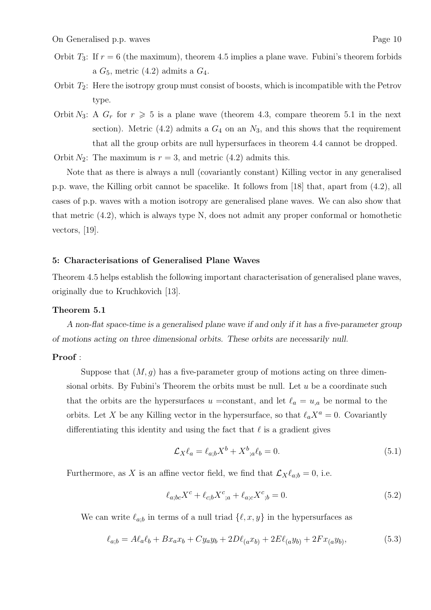- Orbit  $T_3$ : If  $r = 6$  (the maximum), theorem 4.5 implies a plane wave. Fubini's theorem forbids a  $G_5$ , metric (4.2) admits a  $G_4$ .
- Orbit  $T_2$ : Here the isotropy group must consist of boosts, which is incompatible with the Petrov type.
- Orbit N<sub>3</sub>: A  $G_r$  for  $r \geq 5$  is a plane wave (theorem 4.3, compare theorem 5.1 in the next section). Metric  $(4.2)$  admits a  $G_4$  on an  $N_3$ , and this shows that the requirement that all the group orbits are null hypersurfaces in theorem 4.4 cannot be dropped.

Orbit  $N_2$ : The maximum is  $r = 3$ , and metric (4.2) admits this.

Note that as there is always a null (covariantly constant) Killing vector in any generalised p.p. wave, the Killing orbit cannot be spacelike. It follows from [18] that, apart from (4.2), all cases of p.p. waves with a motion isotropy are generalised plane waves. We can also show that that metric (4.2), which is always type N, does not admit any proper conformal or homothetic vectors, [19].

# **5: Characterisations of Generalised Plane Waves**

Theorem 4.5 helps establish the following important characterisation of generalised plane waves, originally due to Kruchkovich [13].

## **Theorem 5.1**

*A non-flat space-time is a generalised plane wave if and only if it has a five-parameter group of motions acting on three dimensional orbits. These orbits are necessarily null.*

# **Proof** :

Suppose that  $(M, g)$  has a five-parameter group of motions acting on three dimensional orbits. By Fubini's Theorem the orbits must be null. Let  $u$  be a coordinate such that the orbits are the hypersurfaces  $u = constant$ , and let  $\ell_a = u_{,a}$  be normal to the orbits. Let X be any Killing vector in the hypersurface, so that  $\ell_a X^a = 0$ . Covariantly differentiating this identity and using the fact that  $\ell$  is a gradient gives

$$
\mathcal{L}_X \ell_a = \ell_{a;b} X^b + X^b{}_{;a} \ell_b = 0. \tag{5.1}
$$

Furthermore, as X is an affine vector field, we find that  $\mathcal{L}_X\ell_{a;b} = 0$ , i.e.

$$
\ell_{a;bc}X^{c} + \ell_{c;b}X^{c};_{a} + \ell_{a;c}X^{c};_{b} = 0.
$$
\n(5.2)

We can write  $\ell_{a,b}$  in terms of a null triad  $\{\ell, x, y\}$  in the hypersurfaces as

$$
\ell_{a;b} = A\ell_a \ell_b + Bx_a x_b + Cy_a y_b + 2D\ell_{(a} x_{b)} + 2E\ell_{(a} y_{b)} + 2Fx_{(a} y_{b)},
$$
(5.3)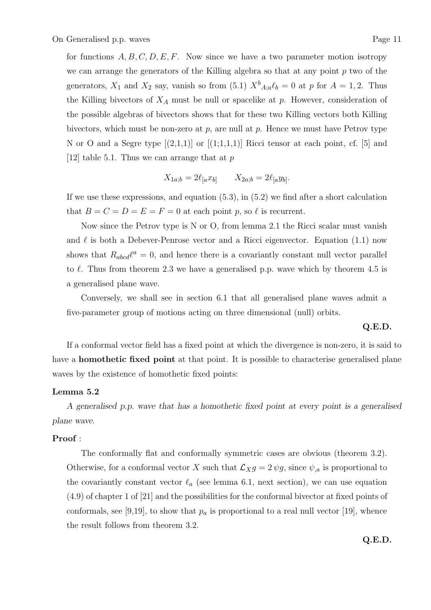for functions  $A, B, C, D, E, F$ . Now since we have a two parameter motion isotropy we can arrange the generators of the Killing algebra so that at any point  $p$  two of the generators,  $X_1$  and  $X_2$  say, vanish so from (5.1)  $X^b{}_{A;a}\ell_b = 0$  at p for  $A = 1, 2$ . Thus the Killing bivectors of  $X_A$  must be null or spacelike at p. However, consideration of the possible algebras of bivectors shows that for these two Killing vectors both Killing bivectors, which must be non-zero at  $p$ , are null at  $p$ . Hence we must have Petrov type N or O and a Segre type  $[(2,1,1)]$  or  $[(1,1,1,1)]$  Ricci tensor at each point, cf. [5] and [12] table 5.1. Thus we can arrange that at  $p$ 

$$
X_{1a;b} = 2\ell_{[a}x_{b]} \qquad X_{2a;b} = 2\ell_{[a}y_{b]}.
$$

If we use these expressions, and equation  $(5.3)$ , in  $(5.2)$  we find after a short calculation that  $B = C = D = E = F = 0$  at each point p, so  $\ell$  is recurrent.

Now since the Petrov type is N or O, from lemma 2.1 the Ricci scalar must vanish and  $\ell$  is both a Debever-Penrose vector and a Ricci eigenvector. Equation (1.1) now shows that  $R_{abcd}\ell^a = 0$ , and hence there is a covariantly constant null vector parallel to  $\ell$ . Thus from theorem 2.3 we have a generalised p.p. wave which by theorem 4.5 is a generalised plane wave.

Conversely, we shall see in section 6.1 that all generalised plane waves admit a five-parameter group of motions acting on three dimensional (null) orbits.

## **Q.E.D.**

If a conformal vector field has a fixed point at which the divergence is non-zero, it is said to have a **homothetic fixed point** at that point. It is possible to characterise generalised plane waves by the existence of homothetic fixed points:

## **Lemma 5.2**

*A generalised p.p. wave that has a homothetic fixed point at every point is a generalised plane wave.*

## **Proof** :

The conformally flat and conformally symmetric cases are obvious (theorem 3.2). Otherwise, for a conformal vector X such that  $\mathcal{L}_X g = 2 \psi g$ , since  $\psi_{,a}$  is proportional to the covariantly constant vector  $\ell_a$  (see lemma 6.1, next section), we can use equation (4.9) of chapter 1 of [21] and the possibilities for the conformal bivector at fixed points of conformals, see [9,19], to show that  $p_a$  is proportional to a real null vector [19], whence the result follows from theorem 3.2.

**Q.E.D.**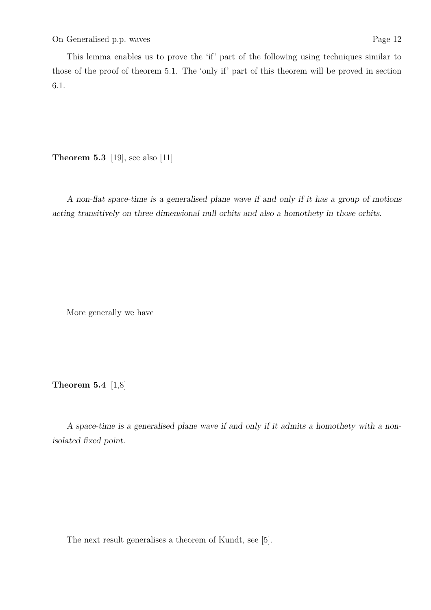This lemma enables us to prove the 'if' part of the following using techniques similar to those of the proof of theorem 5.1. The 'only if' part of this theorem will be proved in section 6.1.

**Theorem 5.3** [19], see also [11]

*A non-flat space-time is a generalised plane wave if and only if it has a group of motions acting transitively on three dimensional null orbits and also a homothety in those orbits.*

More generally we have

**Theorem 5.4** [1,8]

*A space-time is a generalised plane wave if and only if it admits a homothety with a nonisolated fixed point.*

The next result generalises a theorem of Kundt, see [5].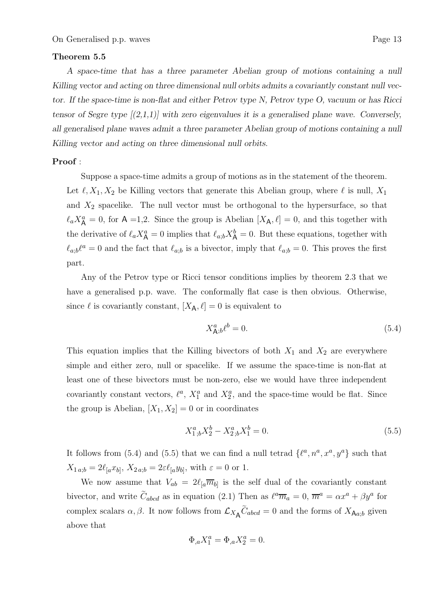## **Theorem 5.5**

*A space-time that has a three parameter Abelian group of motions containing a null Killing vector and acting on three dimensional null orbits admits a covariantly constant null vector. If the space-time is non-flat and either Petrov type N, Petrov type O, vacuum or has Ricci tensor of Segre type [(2,1,1)] with zero eigenvalues it is a generalised plane wave. Conversely, all generalised plane waves admit a three parameter Abelian group of motions containing a null Killing vector and acting on three dimensional null orbits.*

## **Proof** :

Suppose a space-time admits a group of motions as in the statement of the theorem. Let  $\ell, X_1, X_2$  be Killing vectors that generate this Abelian group, where  $\ell$  is null,  $X_1$ and  $X_2$  spacelike. The null vector must be orthogonal to the hypersurface, so that  $\ell_a X^a_{\mathsf{A}} = 0$ , for  $\mathsf{A} = 1,2$ . Since the group is Abelian  $[X_{\mathsf{A}}, \ell] = 0$ , and this together with the derivative of  $\ell_a X^a_{\mathsf{A}} = 0$  implies that  $\ell_{a;b} X^b_{\mathsf{A}} = 0$ . But these equations, together with  $\ell_{a;b}\ell^a = 0$  and the fact that  $\ell_{a;b}$  is a bivector, imply that  $\ell_{a;b} = 0$ . This proves the first part.

Any of the Petrov type or Ricci tensor conditions implies by theorem 2.3 that we have a generalised p.p. wave. The conformally flat case is then obvious. Otherwise, since  $\ell$  is covariantly constant,  $[X_A, \ell] = 0$  is equivalent to

$$
X_{\mathsf{A}}^a{}_{,b}\ell^b = 0.\tag{5.4}
$$

This equation implies that the Killing bivectors of both  $X_1$  and  $X_2$  are everywhere simple and either zero, null or spacelike. If we assume the space-time is non-flat at least one of these bivectors must be non-zero, else we would have three independent covariantly constant vectors,  $\ell^a$ ,  $X_1^a$  and  $X_2^a$ , and the space-time would be flat. Since the group is Abelian,  $[X_1, X_2] = 0$  or in coordinates

$$
X_{1,b}^a X_2^b - X_{2,b}^a X_1^b = 0.
$$
\n(5.5)

It follows from (5.4) and (5.5) that we can find a null tetrad  $\{\ell^a, n^a, x^a, y^a\}$  such that  $X_{1\,a;b} = 2\ell_{[a}x_{b]}, X_{2\,a;b} = 2\varepsilon\ell_{[a}y_{b]},$  with  $\varepsilon = 0$  or 1.

We now assume that  $V_{ab} = 2\ell_{a}\overline{m}_{b}$  is the self dual of the covariantly constant bivector, and write  $\hat{C}_{abcd}$  as in equation (2.1) Then as  $\ell^a \overline{m}_a = 0$ ,  $\overline{m}^a = \alpha x^a + \beta y^a$  for complex scalars  $\alpha, \beta$ . It now follows from  $\mathcal{L}_{X_{\mathbf{A}}} \tilde{C}_{abcd} = 0$  and the forms of  $X_{\mathbf{A}a;b}$  given above that

$$
\Phi_{,a} X_1^a = \Phi_{,a} X_2^a = 0.
$$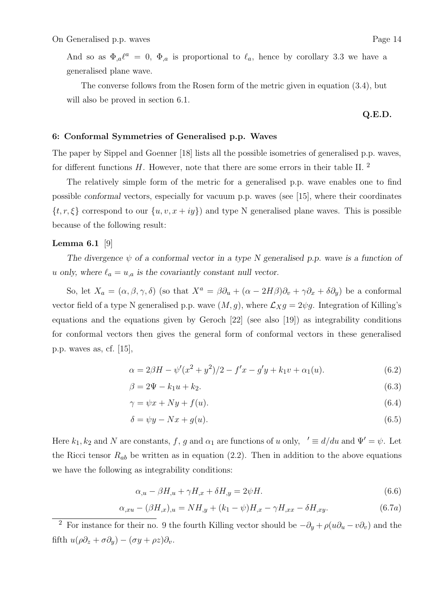And so as  $\Phi_{,a}\ell^a = 0$ ,  $\Phi_{,a}$  is proportional to  $\ell_a$ , hence by corollary 3.3 we have a generalised plane wave.

The converse follows from the Rosen form of the metric given in equation (3.4), but will also be proved in section 6.1.

**Q.E.D.**

## **6: Conformal Symmetries of Generalised p.p. Waves**

The paper by Sippel and Goenner [18] lists all the possible isometries of generalised p.p. waves, for different functions  $H$ . However, note that there are some errors in their table II.  $^2$ 

The relatively simple form of the metric for a generalised p.p. wave enables one to find possible *conformal* vectors, especially for vacuum p.p. waves (see [15], where their coordinates  $\{t, r, \xi\}$  correspond to our  $\{u, v, x + iy\}$  and type N generalised plane waves. This is possible because of the following result:

# **Lemma 6.1** [9]

The divergence  $\psi$  of a conformal vector in a type N generalised p.p. wave is a function of u only, where  $\ell_a = u_{a}$  is the covariantly constant null vector.

So, let  $X_a = (\alpha, \beta, \gamma, \delta)$  (so that  $X^a = \beta \partial_u + (\alpha - 2H\beta)\partial_v + \gamma \partial_x + \delta \partial_y$ ) be a conformal vector field of a type N generalised p.p. wave  $(M, g)$ , where  $\mathcal{L}_X g = 2 \psi g$ . Integration of Killing's equations and the equations given by Geroch [22] (see also [19]) as integrability conditions for conformal vectors then gives the general form of conformal vectors in these generalised p.p. waves as, cf. [15],

$$
\alpha = 2\beta H - \psi'(x^2 + y^2)/2 - f'x - g'y + k_1v + \alpha_1(u). \tag{6.2}
$$

$$
\beta = 2\Psi - k_1 u + k_2. \tag{6.3}
$$

$$
\gamma = \psi x + N y + f(u). \tag{6.4}
$$

$$
\delta = \psi y - Nx + g(u). \tag{6.5}
$$

Here  $k_1, k_2$  and N are constants, f, g and  $\alpha_1$  are functions of u only,  $\ell \equiv d/du$  and  $\Psi' = \psi$ . Let the Ricci tensor  $R_{ab}$  be written as in equation (2.2). Then in addition to the above equations we have the following as integrability conditions:

$$
\alpha_{,u} - \beta H_{,u} + \gamma H_{,x} + \delta H_{,y} = 2\psi H. \tag{6.6}
$$

$$
\alpha_{,xu} - (\beta H_{,x})_{,u} = NH_{,y} + (k_1 - \psi)H_{,x} - \gamma H_{,xx} - \delta H_{,xy}.
$$
\n(6.7*a*)

<sup>2</sup> For instance for their no. 9 the fourth Killing vector should be  $-\partial_y + \rho(u\partial_u - v\partial_v)$  and the fifth  $u(\rho \partial_z + \sigma \partial_y) - (\sigma y + \rho z)\partial_v$ .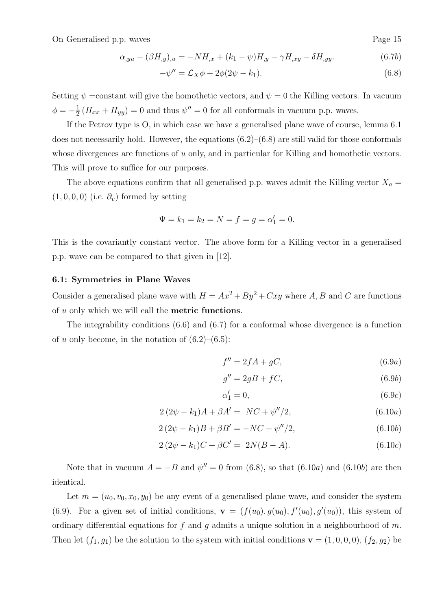$$
\alpha_{,yu} - (\beta H_{,y})_{,u} = -NH_{,x} + (k_1 - \psi)H_{,y} - \gamma H_{,xy} - \delta H_{,yy}.
$$
\n(6.7b)

$$
-\psi'' = \mathcal{L}_X \phi + 2\phi(2\psi - k_1). \tag{6.8}
$$

Setting  $\psi$  =constant will give the homothetic vectors, and  $\psi = 0$  the Killing vectors. In vacuum  $\phi = -\frac{1}{2} (H_{xx} + H_{yy}) = 0$  and thus  $\psi'' = 0$  for all conformals in vacuum p.p. waves.

If the Petrov type is O, in which case we have a generalised plane wave of course, lemma 6.1 does not necessarily hold. However, the equations  $(6.2)$ – $(6.8)$  are still valid for those conformals whose divergences are functions of u only, and in particular for Killing and homothetic vectors. This will prove to suffice for our purposes.

The above equations confirm that all generalised p.p. waves admit the Killing vector  $X_a =$  $(1, 0, 0, 0)$  (i.e.  $\partial_v$ ) formed by setting

$$
\Psi = k_1 = k_2 = N = f = g = \alpha'_1 = 0.
$$

This is the covariantly constant vector. The above form for a Killing vector in a generalised p.p. wave can be compared to that given in [12].

#### **6.1: Symmetries in Plane Waves**

Consider a generalised plane wave with  $H = Ax^2 + By^2 + Cxy$  where A, B and C are functions of u only which we will call the **metric functions**.

The integrability conditions (6.6) and (6.7) for a conformal whose divergence is a function of u only become, in the notation of  $(6.2)$ – $(6.5)$ :

$$
f'' = 2fA + gC,\tag{6.9a}
$$

$$
g'' = 2gB + fC,\t\t(6.9b)
$$

$$
\alpha_1' = 0,\tag{6.9c}
$$

$$
2(2\psi - k_1)A + \beta A' = NC + \psi''/2, \tag{6.10a}
$$

$$
2(2\psi - k_1)B + \beta B' = -NC + \psi''/2, \tag{6.10b}
$$

$$
2(2\psi - k_1)C + \beta C' = 2N(B - A). \tag{6.10c}
$$

Note that in vacuum  $A = -B$  and  $\psi'' = 0$  from (6.8), so that (6.10*a*) and (6.10*b*) are then identical.

Let  $m = (u_0, v_0, x_0, y_0)$  be any event of a generalised plane wave, and consider the system (6.9). For a given set of initial conditions,  $\mathbf{v} = (f(u_0), g(u_0), f'(u_0), g'(u_0))$ , this system of ordinary differential equations for f and g admits a unique solution in a neighbourhood of m. Then let  $(f_1, g_1)$  be the solution to the system with initial conditions **v** =  $(1, 0, 0, 0)$ ,  $(f_2, g_2)$  be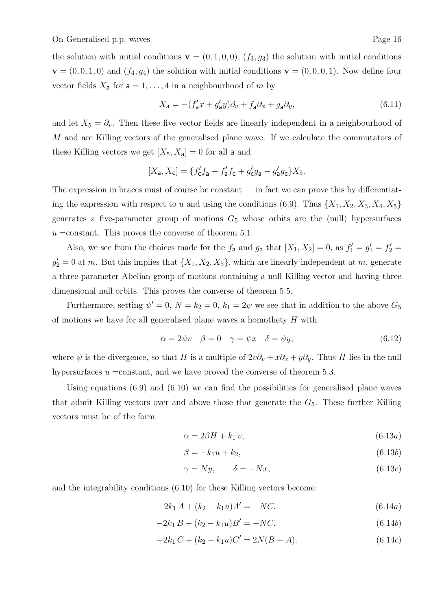the solution with initial conditions  $\mathbf{v} = (0, 1, 0, 0), (f_3, g_3)$  the solution with initial conditions  $\mathbf{v} = (0, 0, 1, 0)$  and  $(f_4, g_4)$  the solution with initial conditions  $\mathbf{v} = (0, 0, 0, 1)$ . Now define four vector fields  $X_{\mathsf{a}}$  for  $\mathsf{a} = 1, \ldots, 4$  in a neighbourhood of m by

$$
X_{\mathbf{a}} = -(f'_{\mathbf{a}}x + g'_{\mathbf{a}}y)\partial_v + f_{\mathbf{a}}\partial_x + g_{\mathbf{a}}\partial_y,\tag{6.11}
$$

and let  $X_5 = \partial_v$ . Then these five vector fields are linearly independent in a neighbourhood of M and are Killing vectors of the generalised plane wave. If we calculate the commutators of these Killing vectors we get  $[X_5, X_3] = 0$  for all a and

$$
[X_{\mathsf{a}}, X_{\mathsf{c}}] = \{ f'_{\mathsf{c}} f_{\mathsf{a}} - f'_{\mathsf{a}} f_{\mathsf{c}} + g'_{\mathsf{c}} g_{\mathsf{a}} - g'_{\mathsf{a}} g_{\mathsf{c}} \} X_5.
$$

The expression in braces must of course be constant — in fact we can prove this by differentiating the expression with respect to u and using the conditions (6.9). Thus  $\{X_1, X_2, X_3, X_4, X_5\}$ generates a five-parameter group of motions  $G_5$  whose orbits are the (null) hypersurfaces  $u = constant$ . This proves the converse of theorem 5.1.

Also, we see from the choices made for the  $f_a$  and  $g_a$  that  $[X_1, X_2] = 0$ , as  $f'_1 = g'_1 = f'_2 =$  $g_2' = 0$  at m. But this implies that  $\{X_1, X_2, X_5\}$ , which are linearly independent at m, generate a three-parameter Abelian group of motions containing a null Killing vector and having three dimensional null orbits. This proves the converse of theorem 5.5.

Furthermore, setting  $\psi' = 0$ ,  $N = k_2 = 0$ ,  $k_1 = 2\psi$  we see that in addition to the above  $G_5$ of motions we have for all generalised plane waves a homothety  $H$  with

$$
\alpha = 2\psi v \quad \beta = 0 \quad \gamma = \psi x \quad \delta = \psi y,\tag{6.12}
$$

where  $\psi$  is the divergence, so that H is a multiple of  $2v\partial_v + x\partial_x + y\partial_y$ . Thus H lies in the null hypersurfaces  $u = constant$ , and we have proved the converse of theorem 5.3.

Using equations (6.9) and (6.10) we can find the possibilities for generalised plane waves that admit Killing vectors over and above those that generate the  $G_5$ . These further Killing vectors must be of the form:

$$
\alpha = 2\beta H + k_1 v,\tag{6.13a}
$$

$$
\beta = -k_1 u + k_2,\tag{6.13b}
$$

$$
\gamma = Ny, \qquad \delta = -Nx,\tag{6.13c}
$$

and the integrability conditions (6.10) for these Killing vectors become:

$$
-2k_1 A + (k_2 - k_1 u)A' = NC.
$$
\n(6.14a)

$$
-2k_1 B + (k_2 - k_1 u)B' = -NC.
$$
\n(6.14b)

$$
-2k_1 C + (k_2 - k_1 u)C' = 2N(B - A).
$$
\n(6.14c)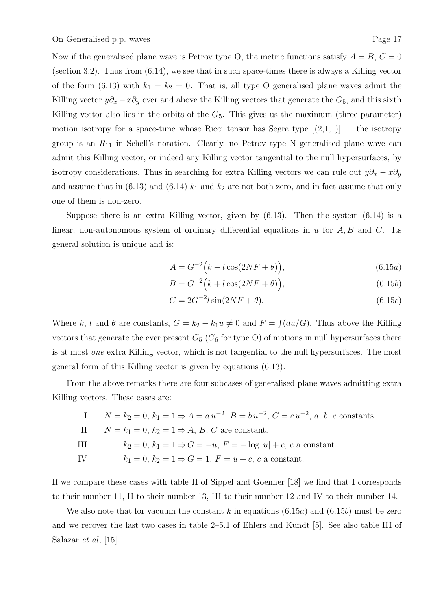Now if the generalised plane wave is Petrov type O, the metric functions satisfy  $A = B$ ,  $C = 0$ (section 3.2). Thus from (6.14), we see that in such space-times there is always a Killing vector of the form (6.13) with  $k_1 = k_2 = 0$ . That is, all type O generalised plane waves admit the Killing vector  $y\partial_x - x\partial_y$  over and above the Killing vectors that generate the  $G_5$ , and this sixth Killing vector also lies in the orbits of the  $G<sub>5</sub>$ . This gives us the maximum (three parameter) motion isotropy for a space-time whose Ricci tensor has Segre type  $[(2,1,1)]$  — the isotropy group is an R<sup>11</sup> in Schell's notation. Clearly, no Petrov type N generalised plane wave can admit this Killing vector, or indeed any Killing vector tangential to the null hypersurfaces, by isotropy considerations. Thus in searching for extra Killing vectors we can rule out  $y\partial_x - x\partial_y$ and assume that in  $(6.13)$  and  $(6.14)$  k<sub>1</sub> and k<sub>2</sub> are not both zero, and in fact assume that only one of them is non-zero.

Suppose there is an extra Killing vector, given by  $(6.13)$ . Then the system  $(6.14)$  is a linear, non-autonomous system of ordinary differential equations in u for  $A, B$  and C. Its general solution is unique and is:

$$
A = G^{-2} (k - l \cos(2NF + \theta)), \qquad (6.15a)
$$

$$
B = G^{-2} (k + l \cos(2NF + \theta)), \qquad (6.15b)
$$

$$
C = 2G^{-2}l\sin(2NF + \theta). \tag{6.15c}
$$

Where k, l and  $\theta$  are constants,  $G = k_2 - k_1 u \neq 0$  and  $F = \int (du/G)$ . Thus above the Killing vectors that generate the ever present  $G_5$  ( $G_6$  for type O) of motions in null hypersurfaces there is at most one extra Killing vector, which is not tangential to the null hypersurfaces. The most general form of this Killing vector is given by equations (6.13).

From the above remarks there are four subcases of generalised plane waves admitting extra Killing vectors. These cases are:

|           | I $N = k_2 = 0$ , $k_1 = 1 \Rightarrow A = a u^{-2}$ , $B = b u^{-2}$ , $C = c u^{-2}$ , a, b, c constants. |
|-----------|-------------------------------------------------------------------------------------------------------------|
|           | II $N = k_1 = 0, k_2 = 1 \Rightarrow A, B, C$ are constant.                                                 |
| $\rm III$ | $k_2 = 0, k_1 = 1 \Rightarrow G = -u, F = -\log u  + c, c$ a constant.                                      |
| IV        | $k_1 = 0, k_2 = 1 \Rightarrow G = 1, F = u + c, c$ a constant.                                              |

If we compare these cases with table II of Sippel and Goenner [18] we find that I corresponds to their number 11, II to their number 13, III to their number 12 and IV to their number 14.

We also note that for vacuum the constant k in equations  $(6.15a)$  and  $(6.15b)$  must be zero and we recover the last two cases in table 2–5.1 of Ehlers and Kundt [5]. See also table III of Salazar et al, [15].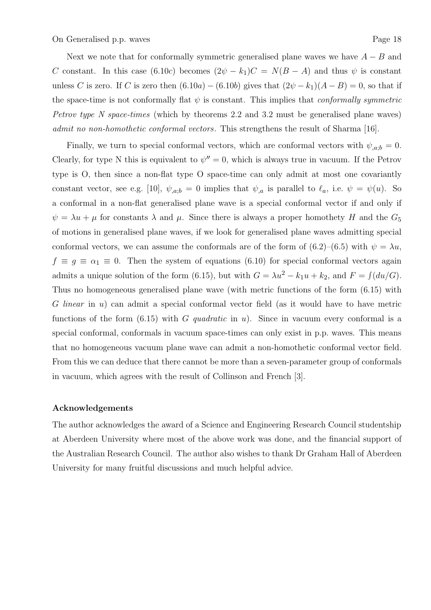Next we note that for conformally symmetric generalised plane waves we have  $A - B$  and C constant. In this case (6.10c) becomes  $(2\psi - k_1)C = N(B - A)$  and thus  $\psi$  is constant unless C is zero. If C is zero then  $(6.10a) - (6.10b)$  gives that  $(2\psi - k_1)(A - B) = 0$ , so that if the space-time is not conformally flat  $\psi$  is constant. This implies that *conformally symmetric* Petrov type N space-times (which by theorems 2.2 and 3.2 must be generalised plane waves) admit no non-homothetic conformal vectors. This strengthens the result of Sharma [16].

Finally, we turn to special conformal vectors, which are conformal vectors with  $\psi_{a;b} = 0$ . Clearly, for type N this is equivalent to  $\psi'' = 0$ , which is always true in vacuum. If the Petrov type is O, then since a non-flat type O space-time can only admit at most one covariantly constant vector, see e.g. [10],  $\psi_{a,b} = 0$  implies that  $\psi_{a}$  is parallel to  $\ell_a$ , i.e.  $\psi = \psi(u)$ . So a conformal in a non-flat generalised plane wave is a special conformal vector if and only if  $\psi = \lambda u + \mu$  for constants  $\lambda$  and  $\mu$ . Since there is always a proper homothety H and the  $G_5$ of motions in generalised plane waves, if we look for generalised plane waves admitting special conformal vectors, we can assume the conformals are of the form of  $(6.2)$ – $(6.5)$  with  $\psi = \lambda u$ ,  $f \equiv g \equiv \alpha_1 \equiv 0$ . Then the system of equations (6.10) for special conformal vectors again admits a unique solution of the form (6.15), but with  $G = \lambda u^2 - k_1 u + k_2$ , and  $F = \int (du/G)$ . Thus no homogeneous generalised plane wave (with metric functions of the form (6.15) with G linear in u) can admit a special conformal vector field (as it would have to have metric functions of the form  $(6.15)$  with G quadratic in u). Since in vacuum every conformal is a special conformal, conformals in vacuum space-times can only exist in p.p. waves. This means that no homogeneous vacuum plane wave can admit a non-homothetic conformal vector field. From this we can deduce that there cannot be more than a seven-parameter group of conformals in vacuum, which agrees with the result of Collinson and French [3].

## **Acknowledgements**

The author acknowledges the award of a Science and Engineering Research Council studentship at Aberdeen University where most of the above work was done, and the financial support of the Australian Research Council. The author also wishes to thank Dr Graham Hall of Aberdeen University for many fruitful discussions and much helpful advice.